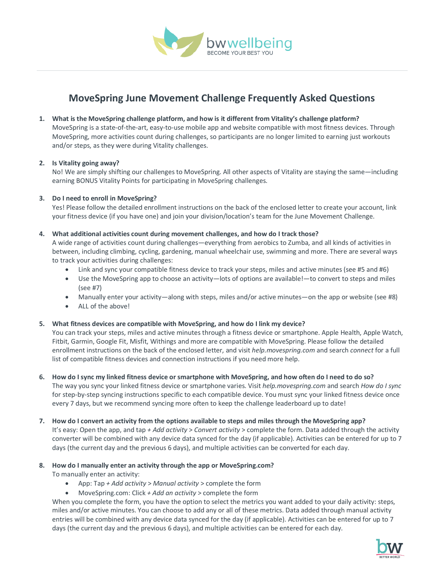

# **MoveSpring June Movement Challenge Frequently Asked Questions**

#### **1. What is the MoveSpring challenge platform, and how is it different from Vitality's challenge platform?**

MoveSpring is a state-of-the-art, easy-to-use mobile app and website compatible with most fitness devices. Through MoveSpring, more activities count during challenges, so participants are no longer limited to earning just workouts and/or steps, as they were during Vitality challenges.

#### **2. Is Vitality going away?**

No! We are simply shifting our challenges to MoveSpring. All other aspects of Vitality are staying the same—including earning BONUS Vitality Points for participating in MoveSpring challenges.

#### **3. Do I need to enroll in MoveSpring?**

Yes! Please follow the detailed enrollment instructions on the back of the enclosed letter to create your account, link your fitness device (if you have one) and join your division/location's team for the June Movement Challenge.

#### **4. What additional activities count during movement challenges, and how do I track those?**

A wide range of activities count during challenges—everything from aerobics to Zumba, and all kinds of activities in between, including climbing, cycling, gardening, manual wheelchair use, swimming and more. There are several ways to track your activities during challenges:

- Link and sync your compatible fitness device to track your steps, miles and active minutes (see #5 and #6)
- Use the MoveSpring app to choose an activity—lots of options are available!—to convert to steps and miles (see #7)
- Manually enter your activity—along with steps, miles and/or active minutes—on the app or website (see #8)
- ALL of the above!

#### **5. What fitness devices are compatible with MoveSpring, and how do I link my device?**

You can track your steps, miles and active minutes through a fitness device or smartphone. Apple Health, Apple Watch, Fitbit, Garmin, Google Fit, Misfit, Withings and more are compatible with MoveSpring. Please follow the detailed enrollment instructions on the back of the enclosed letter, and visit *help.movespring.com* and search *connect* for a full list of compatible fitness devices and connection instructions if you need more help.

- **6. How do I sync my linked fitness device or smartphone with MoveSpring, and how often do I need to do so?** The way you sync your linked fitness device or smartphone varies. Visit *help.movespring.com* and search *How do I sync* for step-by-step syncing instructions specific to each compatible device. You must sync your linked fitness device once every 7 days, but we recommend syncing more often to keep the challenge leaderboard up to date!
- **7. How do I convert an activity from the options available to steps and miles through the MoveSpring app?** It's easy: Open the app, and tap *+ Add activity* > *Convert activity* > complete the form. Data added through the activity converter will be combined with any device data synced for the day (if applicable). Activities can be entered for up to 7 days (the current day and the previous 6 days), and multiple activities can be converted for each day.

#### **8. How do I manually enter an activity through the app or MoveSpring.com?**

To manually enter an activity:

- App: Tap *+ Add activity* > *Manual activity* > complete the form
- MoveSpring.com: Click *+ Add an activity* > complete the form

When you complete the form, you have the option to select the metrics you want added to your daily activity: steps, miles and/or active minutes. You can choose to add any or all of these metrics. Data added through manual activity entries will be combined with any device data synced for the day (if applicable). Activities can be entered for up to 7 days (the current day and the previous 6 days), and multiple activities can be entered for each day.